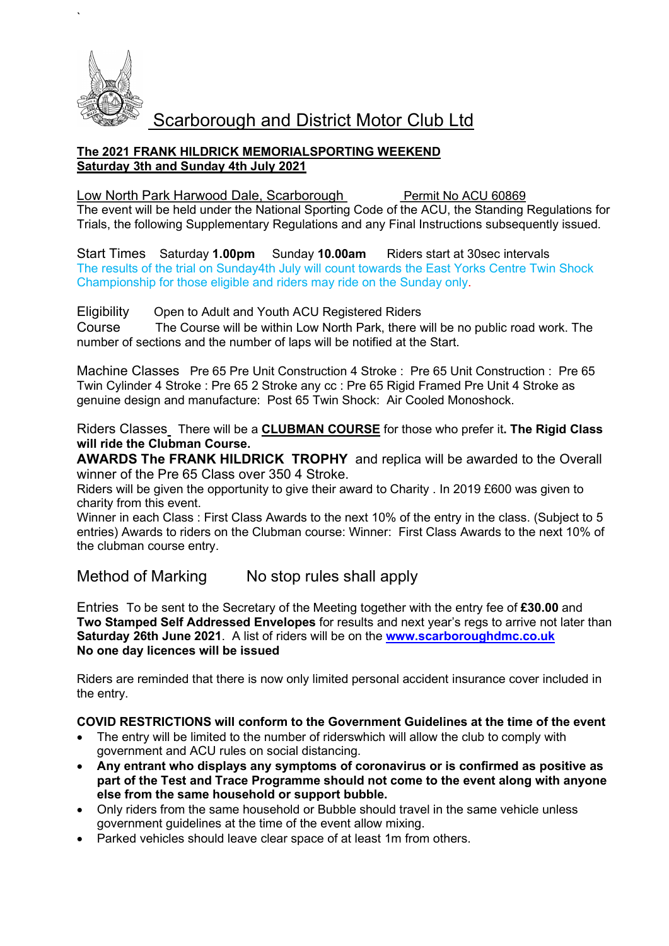

`

## The 2021 FRANK HILDRICK MEMORIALSPORTING WEEKEND Saturday 3th and Sunday 4th July 2021

## Low North Park Harwood Dale, Scarborough Permit No ACU 60869

The event will be held under the National Sporting Code of the ACU, the Standing Regulations for Trials, the following Supplementary Regulations and any Final Instructions subsequently issued.

Start Times Saturday 1.00pm Sunday 10.00am Riders start at 30sec intervals The results of the trial on Sunday4th July will count towards the East Yorks Centre Twin Shock Championship for those eligible and riders may ride on the Sunday only.

Eligibility Open to Adult and Youth ACU Registered Riders

Course The Course will be within Low North Park, there will be no public road work. The number of sections and the number of laps will be notified at the Start.

Machine Classes Pre 65 Pre Unit Construction 4 Stroke : Pre 65 Unit Construction : Pre 65 Twin Cylinder 4 Stroke : Pre 65 2 Stroke any cc : Pre 65 Rigid Framed Pre Unit 4 Stroke as genuine design and manufacture: Post 65 Twin Shock: Air Cooled Monoshock.

Riders Classes There will be a CLUBMAN COURSE for those who prefer it. The Rigid Class will ride the Clubman Course.

AWARDS The FRANK HILDRICK TROPHY and replica will be awarded to the Overall winner of the Pre 65 Class over 350 4 Stroke.

Riders will be given the opportunity to give their award to Charity . In 2019 £600 was given to charity from this event.

Winner in each Class : First Class Awards to the next 10% of the entry in the class. (Subject to 5 entries) Awards to riders on the Clubman course: Winner: First Class Awards to the next 10% of the clubman course entry.

## Method of Marking No stop rules shall apply

Entries To be sent to the Secretary of the Meeting together with the entry fee of £30.00 and Two Stamped Self Addressed Envelopes for results and next year's regs to arrive not later than Saturday 26th June 2021. A list of riders will be on the www.scarboroughdmc.co.uk No one day licences will be issued

Riders are reminded that there is now only limited personal accident insurance cover included in the entry.

## COVID RESTRICTIONS will conform to the Government Guidelines at the time of the event

- The entry will be limited to the number of riderswhich will allow the club to comply with government and ACU rules on social distancing.
- Any entrant who displays any symptoms of coronavirus or is confirmed as positive as part of the Test and Trace Programme should not come to the event along with anyone else from the same household or support bubble.
- Only riders from the same household or Bubble should travel in the same vehicle unless government guidelines at the time of the event allow mixing.
- Parked vehicles should leave clear space of at least 1m from others.